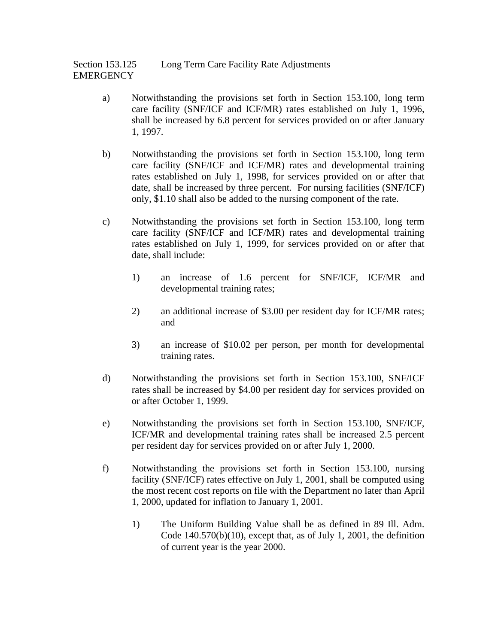Section 153.125 Long Term Care Facility Rate Adjustments **EMERGENCY** 

- a) Notwithstanding the provisions set forth in Section 153.100, long term care facility (SNF/ICF and ICF/MR) rates established on July 1, 1996, shall be increased by 6.8 percent for services provided on or after January 1, 1997.
- b) Notwithstanding the provisions set forth in Section 153.100, long term care facility (SNF/ICF and ICF/MR) rates and developmental training rates established on July 1, 1998, for services provided on or after that date, shall be increased by three percent. For nursing facilities (SNF/ICF) only, \$1.10 shall also be added to the nursing component of the rate.
- c) Notwithstanding the provisions set forth in Section 153.100, long term care facility (SNF/ICF and ICF/MR) rates and developmental training rates established on July 1, 1999, for services provided on or after that date, shall include:
	- 1) an increase of 1.6 percent for SNF/ICF, ICF/MR and developmental training rates;
	- 2) an additional increase of \$3.00 per resident day for ICF/MR rates; and
	- 3) an increase of \$10.02 per person, per month for developmental training rates.
- d) Notwithstanding the provisions set forth in Section 153.100, SNF/ICF rates shall be increased by \$4.00 per resident day for services provided on or after October 1, 1999.
- e) Notwithstanding the provisions set forth in Section 153.100, SNF/ICF, ICF/MR and developmental training rates shall be increased 2.5 percent per resident day for services provided on or after July 1, 2000.
- f) Notwithstanding the provisions set forth in Section 153.100, nursing facility (SNF/ICF) rates effective on July 1, 2001, shall be computed using the most recent cost reports on file with the Department no later than April 1, 2000, updated for inflation to January 1, 2001.
	- 1) The Uniform Building Value shall be as defined in 89 Ill. Adm. Code  $140.570(b)(10)$ , except that, as of July 1, 2001, the definition of current year is the year 2000.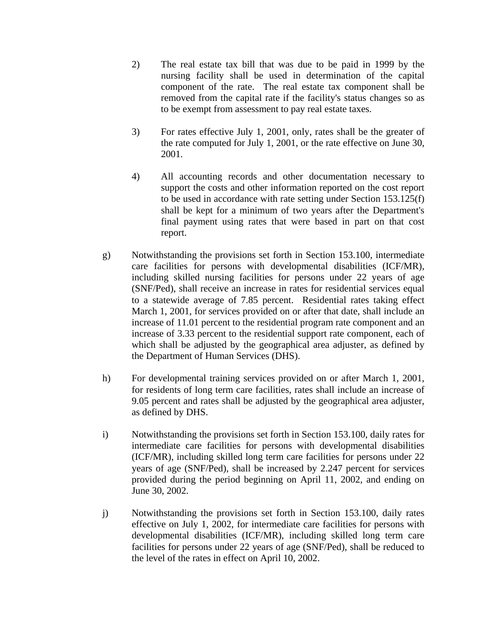- 2) The real estate tax bill that was due to be paid in 1999 by the nursing facility shall be used in determination of the capital component of the rate. The real estate tax component shall be removed from the capital rate if the facility's status changes so as to be exempt from assessment to pay real estate taxes.
- 3) For rates effective July 1, 2001, only, rates shall be the greater of the rate computed for July 1, 2001, or the rate effective on June 30, 2001.
- 4) All accounting records and other documentation necessary to support the costs and other information reported on the cost report to be used in accordance with rate setting under Section 153.125(f) shall be kept for a minimum of two years after the Department's final payment using rates that were based in part on that cost report.
- g) Notwithstanding the provisions set forth in Section 153.100, intermediate care facilities for persons with developmental disabilities (ICF/MR), including skilled nursing facilities for persons under 22 years of age (SNF/Ped), shall receive an increase in rates for residential services equal to a statewide average of 7.85 percent. Residential rates taking effect March 1, 2001, for services provided on or after that date, shall include an increase of 11.01 percent to the residential program rate component and an increase of 3.33 percent to the residential support rate component, each of which shall be adjusted by the geographical area adjuster, as defined by the Department of Human Services (DHS).
- h) For developmental training services provided on or after March 1, 2001, for residents of long term care facilities, rates shall include an increase of 9.05 percent and rates shall be adjusted by the geographical area adjuster, as defined by DHS.
- i) Notwithstanding the provisions set forth in Section 153.100, daily rates for intermediate care facilities for persons with developmental disabilities (ICF/MR), including skilled long term care facilities for persons under 22 years of age (SNF/Ped), shall be increased by 2.247 percent for services provided during the period beginning on April 11, 2002, and ending on June 30, 2002.
- j) Notwithstanding the provisions set forth in Section 153.100, daily rates effective on July 1, 2002, for intermediate care facilities for persons with developmental disabilities (ICF/MR), including skilled long term care facilities for persons under 22 years of age (SNF/Ped), shall be reduced to the level of the rates in effect on April 10, 2002.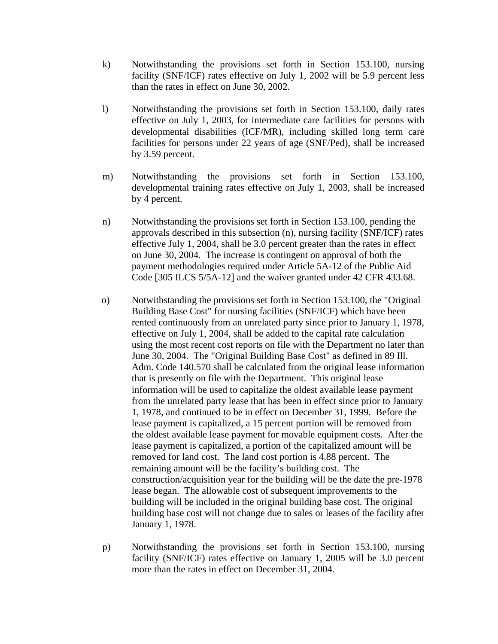- k) Notwithstanding the provisions set forth in Section 153.100, nursing facility (SNF/ICF) rates effective on July 1, 2002 will be 5.9 percent less than the rates in effect on June 30, 2002.
- l) Notwithstanding the provisions set forth in Section 153.100, daily rates effective on July 1, 2003, for intermediate care facilities for persons with developmental disabilities (ICF/MR), including skilled long term care facilities for persons under 22 years of age (SNF/Ped), shall be increased by 3.59 percent.
- m) Notwithstanding the provisions set forth in Section 153.100, developmental training rates effective on July 1, 2003, shall be increased by 4 percent.
- n) Notwithstanding the provisions set forth in Section 153.100, pending the approvals described in this subsection (n), nursing facility (SNF/ICF) rates effective July 1, 2004, shall be 3.0 percent greater than the rates in effect on June 30, 2004. The increase is contingent on approval of both the payment methodologies required under Article 5A-12 of the Public Aid Code [305 ILCS 5/5A-12] and the waiver granted under 42 CFR 433.68.
- o) Notwithstanding the provisions set forth in Section 153.100, the "Original Building Base Cost" for nursing facilities (SNF/ICF) which have been rented continuously from an unrelated party since prior to January 1, 1978, effective on July 1, 2004, shall be added to the capital rate calculation using the most recent cost reports on file with the Department no later than June 30, 2004. The "Original Building Base Cost" as defined in 89 Ill. Adm. Code 140.570 shall be calculated from the original lease information that is presently on file with the Department. This original lease information will be used to capitalize the oldest available lease payment from the unrelated party lease that has been in effect since prior to January 1, 1978, and continued to be in effect on December 31, 1999. Before the lease payment is capitalized, a 15 percent portion will be removed from the oldest available lease payment for movable equipment costs. After the lease payment is capitalized, a portion of the capitalized amount will be removed for land cost. The land cost portion is 4.88 percent. The remaining amount will be the facility's building cost. The construction/acquisition year for the building will be the date the pre-1978 lease began. The allowable cost of subsequent improvements to the building will be included in the original building base cost. The original building base cost will not change due to sales or leases of the facility after January 1, 1978.
- p) Notwithstanding the provisions set forth in Section 153.100, nursing facility (SNF/ICF) rates effective on January 1, 2005 will be 3.0 percent more than the rates in effect on December 31, 2004.